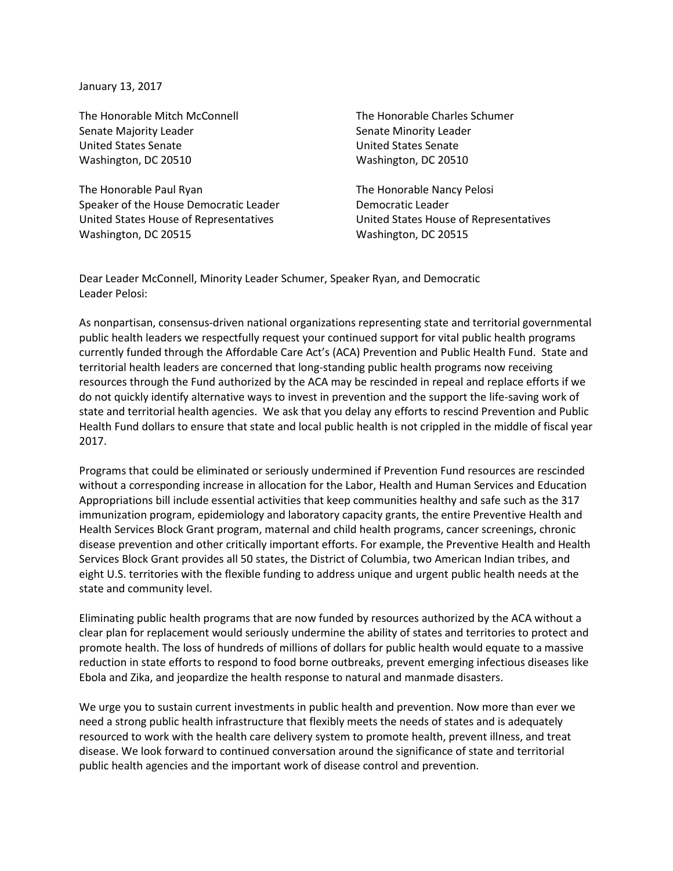January 13, 2017

The Honorable Mitch McConnell Senate Majority Leader United States Senate Washington, DC 20510

The Honorable Paul Ryan Speaker of the House Democratic Leader United States House of Representatives Washington, DC 20515

The Honorable Charles Schumer Senate Minority Leader United States Senate Washington, DC 20510

The Honorable Nancy Pelosi Democratic Leader United States House of Representatives Washington, DC 20515

Dear Leader McConnell, Minority Leader Schumer, Speaker Ryan, and Democratic Leader Pelosi:

As nonpartisan, consensus-driven national organizations representing state and territorial governmental public health leaders we respectfully request your continued support for vital public health programs currently funded through the Affordable Care Act's (ACA) Prevention and Public Health Fund. State and territorial health leaders are concerned that long-standing public health programs now receiving resources through the Fund authorized by the ACA may be rescinded in repeal and replace efforts if we do not quickly identify alternative ways to invest in prevention and the support the life-saving work of state and territorial health agencies. We ask that you delay any efforts to rescind Prevention and Public Health Fund dollars to ensure that state and local public health is not crippled in the middle of fiscal year 2017.

Programs that could be eliminated or seriously undermined if Prevention Fund resources are rescinded without a corresponding increase in allocation for the Labor, Health and Human Services and Education Appropriations bill include essential activities that keep communities healthy and safe such as the 317 immunization program, epidemiology and laboratory capacity grants, the entire Preventive Health and Health Services Block Grant program, maternal and child health programs, cancer screenings, chronic disease prevention and other critically important efforts. For example, the Preventive Health and Health Services Block Grant provides all 50 states, the District of Columbia, two American Indian tribes, and eight U.S. territories with the flexible funding to address unique and urgent public health needs at the state and community level.

Eliminating public health programs that are now funded by resources authorized by the ACA without a clear plan for replacement would seriously undermine the ability of states and territories to protect and promote health. The loss of hundreds of millions of dollars for public health would equate to a massive reduction in state efforts to respond to food borne outbreaks, prevent emerging infectious diseases like Ebola and Zika, and jeopardize the health response to natural and manmade disasters.

We urge you to sustain current investments in public health and prevention. Now more than ever we need a strong public health infrastructure that flexibly meets the needs of states and is adequately resourced to work with the health care delivery system to promote health, prevent illness, and treat disease. We look forward to continued conversation around the significance of state and territorial public health agencies and the important work of disease control and prevention.